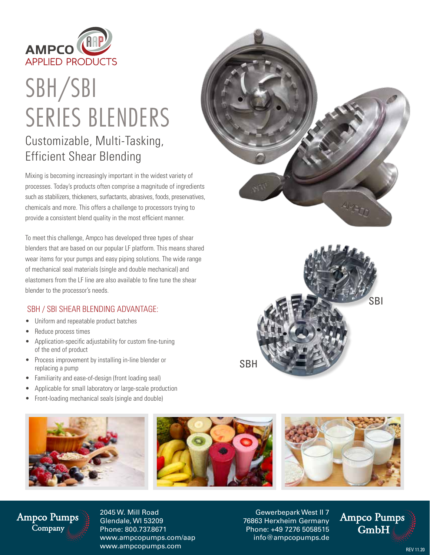

# SBH/SBI SERIES BLENDERS Customizable, Multi-Tasking, Efficient Shear Blending

Mixing is becoming increasingly important in the widest variety of processes. Today's products often comprise a magnitude of ingredients such as stabilizers, thickeners, surfactants, abrasives, foods, preservatives, chemicals and more. This offers a challenge to processors trying to provide a consistent blend quality in the most efficient manner.

To meet this challenge, Ampco has developed three types of shear blenders that are based on our popular LF platform. This means shared wear items for your pumps and easy piping solutions. The wide range of mechanical seal materials (single and double mechanical) and elastomers from the LF line are also available to fine tune the shear blender to the processor's needs.

#### SBH / SBI SHEAR BLENDING ADVANTAGE:

- Uniform and repeatable product batches
- Reduce process times
- Application-specific adjustability for custom fine-tuning of the end of product
- Process improvement by installing in-line blender or replacing a pump
- Familiarity and ease-of-design (front loading seal)
- Applicable for small laboratory or large-scale production
- Front-loading mechanical seals (single and double)







### **Ampco Pumps** Company

2045 W. Mill Road Glendale, WI 53209 Phone: 800.737.8671 www.ampcopumps.com/aap www.ampcopumps.com

Gewerbepark West II 7 76863 Herxheim Germany Phone: +49 7276 5058515 info@ampcopumps.de

**Ampco Pumps**  $GmbH$